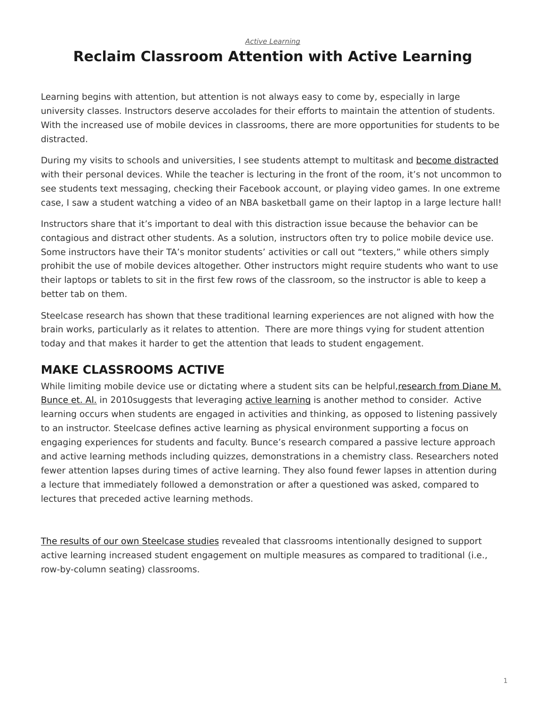*[Active Learning](https://www.steelcase.com/research/topics/active-learning/)*

# <span id="page-0-0"></span>**Reclaim Classroom Attention with Active Learning**

Learning begins with attention, but attention is not always easy to come by, especially in large university classes. Instructors deserve accolades for their efforts to maintain the attention of students. With the increased use of mobile devices in classrooms, there are more opportunities for students to be distracted.

During my visits to schools and universities, I see students attempt to multitask and [become distracted](https://www.steelcase.com/insights/articles/class-can-i-have-your-attention/) with their personal devices. While the teacher is lecturing in the front of the room, it's not uncommon to see students text messaging, checking their Facebook account, or playing video games. In one extreme case, I saw a student watching a video of an NBA basketball game on their laptop in a large lecture hall!

Instructors share that it's important to deal with this distraction issue because the behavior can be contagious and distract other students. As a solution, instructors often try to police mobile device use. Some instructors have their TA's monitor students' activities or call out "texters," while others simply prohibit the use of mobile devices altogether. Other instructors might require students who want to use their laptops or tablets to sit in the first few rows of the classroom, so the instructor is able to keep a better tab on them.

Steelcase research has shown that these traditional learning experiences are not aligned with how the brain works, particularly as it relates to attention. There are more things vying for student attention today and that makes it harder to get the attention that leads to student engagement.

## **MAKE CLASSROOMS ACTIVE**

While limiting mobile device use or dictating where a student sits can be helpful, [research](http://pubs.acs.org/doi/abs/10.1021/ed100409p) [from Diane M.](http://pubs.acs.org/doi/abs/10.1021/ed100409p) [Bunce et. Al.](http://pubs.acs.org/doi/abs/10.1021/ed100409p) in 2010suggests that leveraging [active learning](https://www.steelcase.com/insights/articles/a-new-learning-curve-2/) is another method to consider. Active learning occurs when students are engaged in activities and thinking, as opposed to listening passively to an instructor. Steelcase defines active learning as physical environment supporting a focus on engaging experiences for students and faculty. Bunce's research compared a passive lecture approach and active learning methods including quizzes, demonstrations in a chemistry class. Researchers noted fewer attention lapses during times of active learning. They also found fewer lapses in attention during a lecture that immediately followed a demonstration or after a questioned was asked, compared to lectures that preceded active learning methods.

[The results of our own Steelcase studies](https://www.steelcase.com/insights/white-papers/how-classroom-design-affects-student-engagement/) revealed that classrooms intentionally designed to support active learning increased student engagement on multiple measures as compared to traditional (i.e., row-by-column seating) classrooms.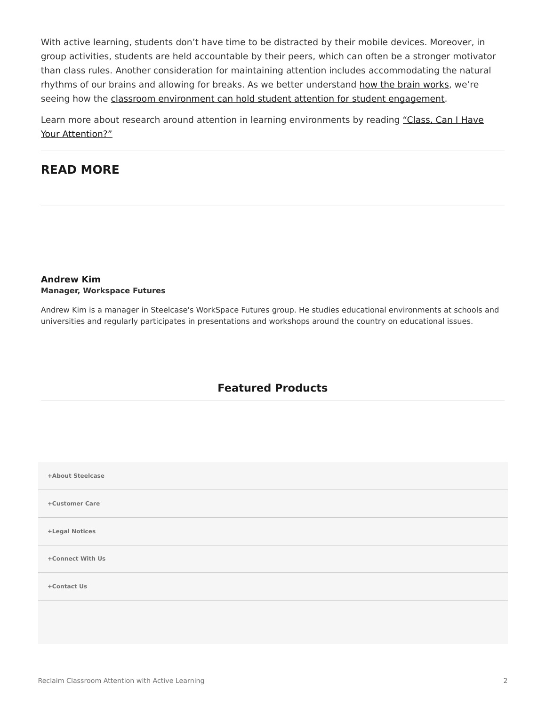With active learning, students don't have time to be distracted by their mobile devices. Moreover, in group activities, students are held accountable by their peers, which can often be a stronger motivator than class rules. Another consideration for maintaining attention includes accommodating the natural rhythms of our brains and allowing for breaks. As we better understand [how the brain works,](https://www.steelcase.com/insights/articles/think-better/) we're seeing how the [classroom environment can hold student attention for student engagement.](https://www.steelcase.com/insights/white-papers/how-classroom-design-affects-student-engagement/)

Learn more about research around attention in learning environments by reading ["Class, Can I Have](https://www.steelcase.com/insights/articles/class-can-i-have-your-attention/) [Your Attention?"](https://www.steelcase.com/insights/articles/class-can-i-have-your-attention/)

### **READ MORE**

#### **[Andrew Kim](https://www.steelcase.com/research/articles/author/andrew-kim/) Manager, Workspace Futures**

Andrew Kim is a manager in Steelcase's WorkSpace Futures group. He studies educational environments at schools and universities and regularly participates in presentations and workshops around the country on educational issues.

### **Featured Products**

| +About Steelcase |  |
|------------------|--|
| +Customer Care   |  |
| +Legal Notices   |  |
| +Connect With Us |  |
| +Contact Us      |  |
|                  |  |